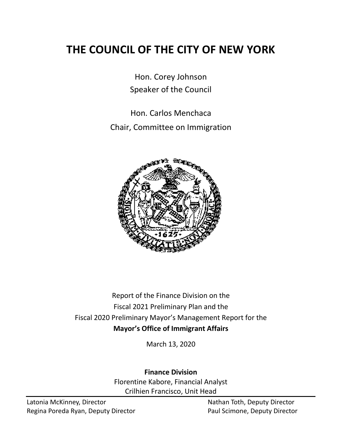# **THE COUNCIL OF THE CITY OF NEW YORK**

Hon. Corey Johnson Speaker of the Council

Hon. Carlos Menchaca Chair, Committee on Immigration



# Report of the Finance Division on the Fiscal 2021 Preliminary Plan and the Fiscal 2020 Preliminary Mayor's Management Report for the **Mayor's Office of Immigrant Affairs**

March 13, 2020

**Finance Division** Florentine Kabore, Financial Analyst

Crilhien Francisco, Unit Head

Latonia McKinney, Director Nathan Toth, Deputy Director Regina Poreda Ryan, Deputy Director **Paul Scimone, Deputy Director**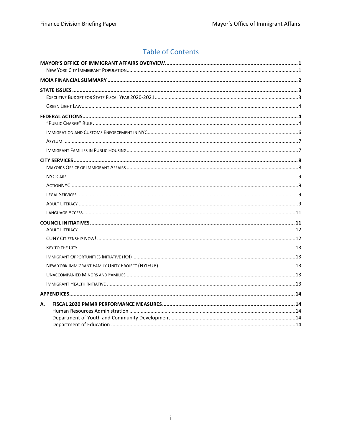# **Table of Contents**

| А. |  |
|----|--|
|    |  |
|    |  |
|    |  |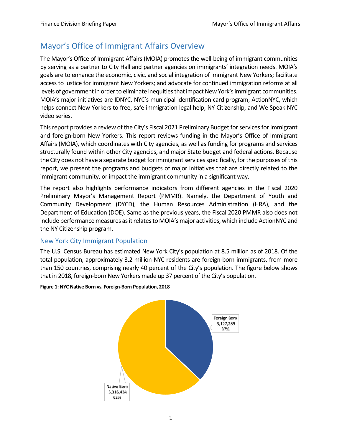# <span id="page-2-0"></span>Mayor's Office of Immigrant Affairs Overview

The Mayor's Office of Immigrant Affairs (MOIA) promotes the well-being of immigrant communities by serving as a partner to City Hall and partner agencies on immigrants' integration needs. MOIA's goals are to enhance the economic, civic, and social integration of immigrant New Yorkers; facilitate access to justice for immigrant New Yorkers; and advocate for continued immigration reforms at all levels of government in order to eliminate inequities that impact New York's immigrant communities. MOIA's major initiatives are IDNYC, NYC's municipal identification card program; ActionNYC, which helps connect New Yorkers to free, safe immigration legal help; NY Citizenship; and We Speak NYC video series.

This report provides a review of the City's Fiscal 2021 Preliminary Budget for services for immigrant and foreign-born New Yorkers. This report reviews funding in the Mayor's Office of Immigrant Affairs (MOIA), which coordinates with City agencies, as well as funding for programs and services structurally found within other City agencies, and major State budget and federal actions. Because the City does not have a separate budget for immigrant services specifically, for the purposes of this report, we present the programs and budgets of major initiatives that are directly related to the immigrant community, or impact the immigrant community in a significant way.

The report also highlights performance indicators from different agencies in the Fiscal 2020 Preliminary Mayor's Management Report (PMMR). Namely, the Department of Youth and Community Development (DYCD), the Human Resources Administration (HRA), and the Department of Education (DOE). Same as the previous years, the Fiscal 2020 PMMR also does not include performance measures as it relates to MOIA's major activities, which include ActionNYC and the NY Citizenship program.

#### <span id="page-2-1"></span>New York City Immigrant Population

The U.S. Census Bureau has estimated New York City's population at 8.5 million as of 2018. Of the total population, approximately 3.2 million NYC residents are foreign-born immigrants, from more than 150 countries, comprising nearly 40 percent of the City's population. The figure below shows that in 2018, foreign-born New Yorkers made up 37 percent of the City's population.



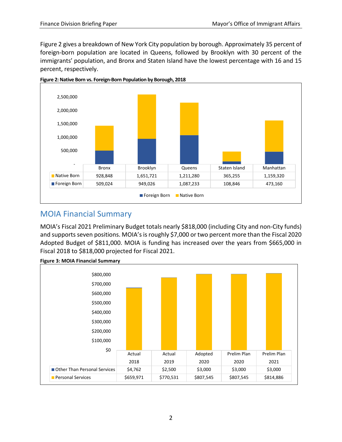Figure 2 gives a breakdown of New York City population by borough. Approximately 35 percent of foreign-born population are located in Queens, followed by Brooklyn with 30 percent of the immigrants' population, and Bronx and Staten Island have the lowest percentage with 16 and 15 percent, respectively.





# <span id="page-3-0"></span>MOIA Financial Summary

MOIA's Fiscal 2021 Preliminary Budget totals nearly \$818,000 (including City and non-City funds) and supports seven positions. MOIA's is roughly \$7,000 or two percent more than the Fiscal 2020 Adopted Budget of \$811,000. MOIA is funding has increased over the years from \$665,000 in Fiscal 2018 to \$818,000 projected for Fiscal 2021.



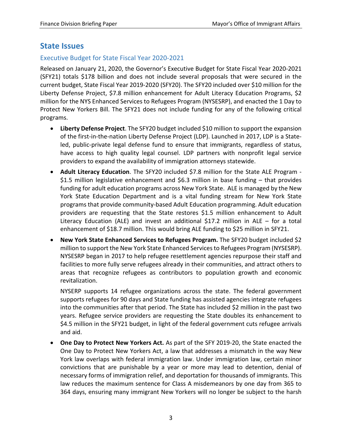## <span id="page-4-0"></span>**State Issues**

#### <span id="page-4-1"></span>Executive Budget for State Fiscal Year 2020-2021

Released on January 21, 2020, the Governor's Executive Budget for State Fiscal Year 2020-2021 (SFY21) totals \$178 billion and does not include several proposals that were secured in the current budget, State Fiscal Year 2019-2020 (SFY20). The SFY20 included over \$10 million for the Liberty Defense Project, \$7.8 million enhancement for Adult Literacy Education Programs, \$2 million for the NYS Enhanced Services to Refugees Program (NYSESRP), and enacted the 1 Day to Protect New Yorkers Bill. The SFY21 does not include funding for any of the following critical programs.

- **Liberty Defense Project**. The SFY20 budget included \$10 million to support the expansion of the first-in-the-nation Liberty Defense Project (LDP). Launched in 2017, LDP is a Stateled, public-private legal defense fund to ensure that immigrants, regardless of status, have access to high quality legal counsel. LDP partners with nonprofit legal service providers to expand the availability of immigration attorneys statewide.
- **Adult Literacy Education**. The SFY20 included \$7.8 million for the State ALE Program \$1.5 million legislative enhancement and \$6.3 million in base funding – that provides funding for adult education programs across New York State. ALE is managed by the New York State Education Department and is a vital funding stream for New York State programs that provide community-based Adult Education programming. Adult education providers are requesting that the State restores \$1.5 million enhancement to Adult Literacy Education (ALE) and invest an additional \$17.2 million in ALE – for a total enhancement of \$18.7 million. This would bring ALE funding to \$25 million in SFY21.
- **New York State Enhanced Services to Refugees Program.** The SFY20 budget included \$2 million to support the New York State Enhanced Services to Refugees Program (NYSESRP). NYSESRP began in 2017 to help refugee resettlement agencies repurpose their staff and facilities to more fully serve refugees already in their communities, and attract others to areas that recognize refugees as contributors to population growth and economic revitalization.

NYSERP supports 14 refugee organizations across the state. The federal government supports refugees for 90 days and State funding has assisted agencies integrate refugees into the communities after that period. The State has included \$2 million in the past two years. Refugee service providers are requesting the State doubles its enhancement to \$4.5 million in the SFY21 budget, in light of the federal government cuts refugee arrivals and aid.

• **One Day to Protect New Yorkers Act.** As part of the SFY 2019-20, the State enacted the One Day to Protect New Yorkers Act, a law that addresses a mismatch in the way New York law overlaps with federal immigration law. Under immigration law, certain minor convictions that are punishable by a year or more may lead to detention, denial of necessary forms of immigration relief, and deportation for thousands of immigrants. This law reduces the maximum sentence for Class A misdemeanors by one day from 365 to 364 days, ensuring many immigrant New Yorkers will no longer be subject to the harsh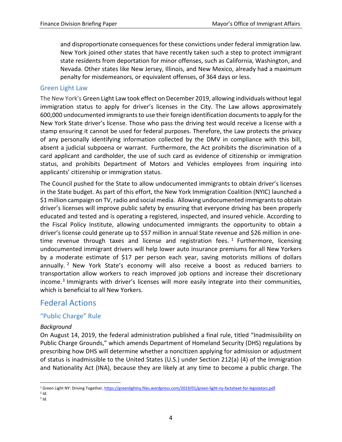and disproportionate consequences for these convictions under federal immigration law. New York joined other states that have recently taken such a step to protect immigrant state residents from deportation for minor offenses, such as California, Washington, and Nevada. Other states like New Jersey, Illinois, and New Mexico, already had a maximum penalty for misdemeanors, or equivalent offenses, of 364 days or less.

#### <span id="page-5-0"></span>Green Light Law

The New York's [Green Light Law took effect](https://www.usatoday.com/story/news/nation/2019/06/17/new-york-approves-drivers-license-undocumented-immigrants/1484592001/) on December 2019, allowing individuals without legal immigration status to apply for driver's licenses in the City. The Law allows approximately 600,000 undocumented immigrants to use their foreign identification documents to apply for the New York State driver's license. Those who pass the driving test would receive a license with a stamp ensuring it cannot be used for federal purposes. Therefore, the Law protects the privacy of any personally identifying information collected by the DMV in compliance with this bill, absent a judicial subpoena or warrant. Furthermore, the Act prohibits the discrimination of a card applicant and cardholder, the use of such card as evidence of citizenship or immigration status, and prohibits Department of Motors and Vehicles employees from inquiring into applicants' citizenship or immigration status.

The Council pushed for the State to allow undocumented immigrants to obtain driver's licenses in the State budget. As part of this effort, the New York Immigration Coalition (NYIC) launched a \$1 million campaign on TV, radio and social media. Allowing undocumented immigrants to obtain driver's licenses will improve public safety by ensuring that everyone driving has been properly educated and tested and is operating a registered, inspected, and insured vehicle. According to the Fiscal Policy Institute, allowing undocumented immigrants the opportunity to obtain a driver's license could generate up to \$57 million in annual State revenue and \$26 million in onetime revenue through taxes and license and registration fees.  $1$  Furthermore, licensing undocumented immigrant drivers will help lower auto insurance premiums for all New Yorkers by a moderate estimate of \$17 per person each year, saving motorists millions of dollars annually. <sup>[2](#page-5-4)</sup> New York State's economy will also receive a boost as reduced barriers to transportation allow workers to reach improved job options and increase their discretionary income.<sup>[3](#page-5-5)</sup> Immigrants with driver's licenses will more easily integrate into their communities, which is beneficial to all New Yorkers.

## <span id="page-5-1"></span>Federal Actions

#### <span id="page-5-2"></span>"Public Charge" Rule

#### *Background*

On August 14, 2019, the federal administration published a final rule, titled "Inadmissibility on Public Charge Grounds," which amends Department of Homeland Security (DHS) regulations by prescribing how DHS will determine whether a noncitizen applying for admission or adjustment of status is inadmissible to the United States (U.S.) under Section 212(a) (4) of the Immigration and Nationality Act (INA), because they are likely at any time to become a public charge. The

 $\overline{a}$ <sup>1</sup> Green Light NY: Driving Together[, https://greenlightny.files.wordpress.com/2019/01/green-light-ny-factsheet-for-legislators.pdf.](https://greenlightny.files.wordpress.com/2019/01/green-light-ny-factsheet-for-legislators.pdf)

<span id="page-5-5"></span><span id="page-5-4"></span><span id="page-5-3"></span><sup>2</sup> *Id.*

<sup>3</sup> *Id.*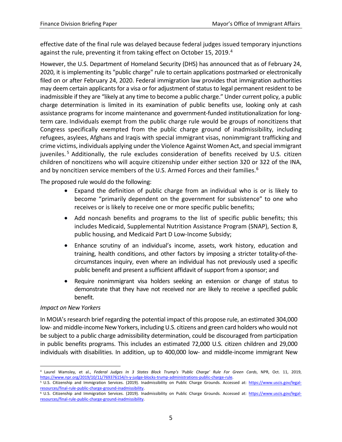effective date of the final rule was delayed because federal judges issued temporary injunctions against the rule, preventing it from taking effect on October 15, 2019.<sup>[4](#page-6-0)</sup>

However, the U.S. Department of Homeland Security (DHS) has announced that as of February 24, 2020, it is implementing its "public charge" rule to certain applications postmarked or electronically filed on or after February 24, 2020. Federal immigration law provides that immigration authorities may deem certain applicants for a visa or for adjustment of status to legal permanent resident to be inadmissible if they are "likely at any time to become a public charge." Under current policy, a public charge determination is limited in its examination of public benefits use, looking only at cash assistance programs for income maintenance and government-funded institutionalization for longterm care. Individuals exempt from the public charge rule would be groups of noncitizens that Congress specifically exempted from the public charge ground of inadmissibility, including refugees, asylees, Afghans and Iraqis with special immigrant visas, nonimmigrant trafficking and crime victims, individuals applying under the Violence Against Women Act, and special immigrant juveniles. [5](#page-6-1) Additionally, the rule excludes consideration of benefits received by U.S. citizen children of noncitizens who will acquire citizenship under either section 320 or 322 of the INA, and by noncitizen service members of the U.S. Armed Forces and their families.<sup>[6](#page-6-2)</sup>

The proposed rule would do the following:

- Expand the definition of public charge from an individual who is or is likely to become "primarily dependent on the government for subsistence" to one who receives or is likely to receive one or more specific public benefits;
- Add noncash benefits and programs to the list of specific public benefits; this includes Medicaid, Supplemental Nutrition Assistance Program (SNAP), Section 8, public housing, and Medicaid Part D Low-Income Subsidy;
- Enhance scrutiny of an individual's income, assets, work history, education and training, health conditions, and other factors by imposing a stricter totality-of-thecircumstances inquiry, even where an individual has not previously used a specific public benefit and present a sufficient affidavit of support from a sponsor; and
- Require nonimmigrant visa holders seeking an extension or change of status to demonstrate that they have not received nor are likely to receive a specified public benefit.

#### *Impact on New Yorkers*

 $\overline{a}$ 

In MOIA's research brief regarding the potential impact of this propose rule, an estimated 304,000 low- and middle-income New Yorkers, including U.S. citizens and green card holders who would not be subject to a public charge admissibility determination, could be discouraged from participation in public benefits programs. This includes an estimated 72,000 U.S. citizen children and 29,000 individuals with disabilities. In addition, up to 400,000 low- and middle-income immigrant New

<span id="page-6-0"></span><sup>4</sup> Laurel Wamsley, et al., *Federal Judges In 3 States Block Trump's 'Public Charge' Rule For Green Cards*, NPR, Oct. 11, 2019, [https://www.npr.org/2019/10/11/769376154/n-y-judge-blocks-trump-administrations-public-charge-rule.](https://www.npr.org/2019/10/11/769376154/n-y-judge-blocks-trump-administrations-public-charge-rule)<br><sup>5</sup> U.S. Citizenship and Immigration Services. (2019). Inadmissibility on Public Charge Grounds. Accessed at: https://www.

<span id="page-6-1"></span>[resources/final-rule-public-charge-ground-inadmissibility.](https://www.uscis.gov/legal-resources/final-rule-public-charge-ground-inadmissibility)

<span id="page-6-2"></span><sup>6</sup> U.S. Citizenship and Immigration Services. (2019). Inadmissibility on Public Charge Grounds. Accessed at: [https://www.uscis.gov/legal](https://www.uscis.gov/legal-resources/final-rule-public-charge-ground-inadmissibility)[resources/final-rule-public-charge-ground-inadmissibility.](https://www.uscis.gov/legal-resources/final-rule-public-charge-ground-inadmissibility)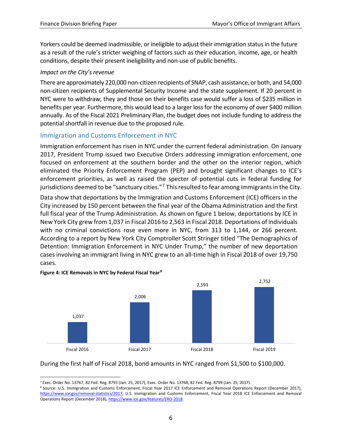Yorkers could be deemed inadmissible, or ineligible to adjust their immigration status in the future as a result of the rule's stricter weighing of factors such as their education, income, age, or health conditions, despite their present ineligibility and non-use of public benefits.

#### *Impact on the City's revenue*

There are approximately 220,000 non-citizen recipients of SNAP, cash assistance, or both, and 54,000 non-citizen recipients of Supplemental Security Income and the state supplement. If 20 percent in NYC were to withdraw, they and those on their benefits case would suffer a loss of \$235 million in benefits per year. Furthermore, this would lead to a larger loss for the economy of over \$400 million annually. As of the Fiscal 2021 Preliminary Plan, the budget does not include funding to address the potential shortfall in revenue due to the proposed rule.

#### <span id="page-7-0"></span>Immigration and Customs Enforcement in NYC

Immigration enforcement has risen in NYC under the current federal administration. On January 2017, President Trump issued two Executive Orders addressing immigration enforcement, one focused on enforcement at the southern border and the other on the interior region, which eliminated the Priority Enforcement Program (PEP) and brought significant changes to ICE's enforcement priorities, as well as raised the specter of potential cuts in federal funding for jurisdictions deemed to be "sanctuary cities."<sup>[7](#page-7-1)</sup> This resulted to fear among immigrants in the City.

Data show that deportations by the Immigration and Customs Enforcement (ICE) officers in the City increased by 150 percent between the final year of the Obama Administration and the first full fiscal year of the Trump Administration. As shown on figure 1 below, deportations by ICE in New York City grew from 1,037 in Fiscal 2016 to 2,563 in Fiscal 2018. Deportations of individuals with no criminal convictions rose even more in NYC, from 313 to 1,144, or 266 percent. According to a report by New York City Comptroller Scott Stringer titled "The Demographics of Detention: Immigration Enforcement in NYC Under Trump," the number of new deportation cases involving an immigrant living in NYC grew to an all-time high in Fiscal 2018 of over 19,750 cases.





#### During the first half of Fiscal 2018, bond amounts in NYC ranged from \$1,500 to \$100,000.

 $\overline{a}$ <sup>7</sup> Exec. Order No. 13767, 82 Fed. Reg. 8793 (Jan. 25, 2017); Exec. Order No. 13768, 82 Fed. Reg. 8799 (Jan. 25, 2017).

<span id="page-7-2"></span><span id="page-7-1"></span><sup>8</sup> Source: U.S. Immigration and Customs Enforcement, Fiscal Year 2017 ICE Enforcement and Removal Operations Report (December 2017), [https://www.ice.gov/removal-statistics/2017,](https://www.ice.gov/removal-statistics/2017) U.S. Immigration and Customs Enforcement, Fiscal Year 2018 ICE Enforcement and Removal Operations Report (December 2018)[, https://www.ice.gov/features/ERO-2018.](https://www.ice.gov/features/ERO-2018)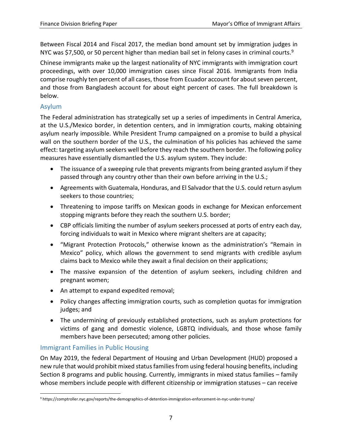Between Fiscal 2014 and Fiscal 2017, the median bond amount set by immigration judges in NYC was \$7,500, or 50 percent higher than median bail set in felony cases in criminal courts.<sup>[9](#page-8-2)</sup>

Chinese immigrants make up the largest nationality of NYC immigrants with immigration court proceedings, with over 10,000 immigration cases since Fiscal 2016. Immigrants from India comprise roughly ten percent of all cases, those from Ecuador account for about seven percent, and those from Bangladesh account for about eight percent of cases. The full breakdown is below.

#### <span id="page-8-0"></span>Asylum

The Federal administration has strategically set up a series of impediments in Central America, at the U.S./Mexico border, in detention centers, and in immigration courts, making obtaining asylum nearly impossible. While President Trump campaigned on a promise to build a physical wall on the southern border of the U.S., the culmination of his policies has achieved the same effect: targeting asylum seekers well before they reach the southern border. The following policy measures have essentially dismantled the U.S. asylum system. They include:

- The issuance of a sweeping rule that prevents migrants from being granted asylum if they passed through any country other than their own before arriving in the U.S.;
- Agreements with Guatemala, Honduras, and El Salvador that the U.S. could return asylum seekers to those countries;
- Threatening to impose tariffs on Mexican goods in exchange for Mexican enforcement stopping migrants before they reach the southern U.S. border;
- CBP officials limiting the number of asylum seekers processed at ports of entry each day, forcing individuals to wait in Mexico where migrant shelters are at capacity;
- "Migrant Protection Protocols," otherwise known as the administration's "Remain in Mexico" policy, which allows the government to send migrants with credible asylum claims back to Mexico while they await a final decision on their applications;
- The massive expansion of the detention of asylum seekers, including children and pregnant women;
- An attempt to expand expedited removal;
- Policy changes affecting immigration courts, such as completion quotas for immigration judges; and
- The undermining of previously established protections, such as asylum protections for victims of gang and domestic violence, LGBTQ individuals, and those whose family members have been persecuted; among other policies.

#### <span id="page-8-1"></span>Immigrant Families in Public Housing

On May 2019, the federal Department of Housing and Urban Development (HUD) proposed a new rule that would prohibit mixed status families from using federal housing benefits, including Section 8 programs and public housing. Currently, immigrants in mixed status families – family whose members include people with different citizenship or immigration statuses – can receive

<span id="page-8-2"></span> $\overline{a}$ <sup>9</sup> https://comptroller.nyc.gov/reports/the-demographics-of-detention-immigration-enforcement-in-nyc-under-trump/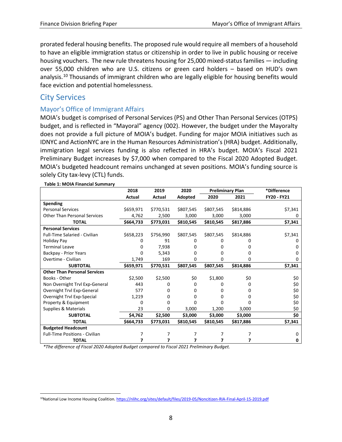prorated federal housing benefits. The proposed rule would require all members of a household to have an eligible immigration status or citizenship in order to live in public housing or receive housing vouchers. The new rule threatens housing for 25,000 mixed-status families — including over 55,000 children who are U.S. citizens or green card holders – based on HUD's own analysis.<sup>[10](#page-9-2)</sup> Thousands of immigrant children who are legally eligible for housing benefits would face eviction and potential homelessness.

### <span id="page-9-0"></span>City Services

 $\overline{a}$ 

#### <span id="page-9-1"></span>Mayor's Office of Immigrant Affairs

MOIA's budget is comprised of Personal Services (PS) and Other Than Personal Services (OTPS) budget, and is reflected in "Mayoral" agency (002). However, the budget under the Mayoralty does not provide a full picture of MOIA's budget. Funding for major MOIA initiatives such as IDNYC and ActionNYC are in the Human Resources Administration's (HRA) budget. Additionally, immigration legal services funding is also reflected in HRA's budget. MOIA's Fiscal 2021 Preliminary Budget increases by \$7,000 when compared to the Fiscal 2020 Adopted Budget. MOIA's budgeted headcount remains unchanged at seven positions. MOIA's funding source is solely City tax-levy (CTL) funds.

|                                       | 2018          | 2019      | 2020      | <b>Preliminary Plan</b> |           | *Difference        |
|---------------------------------------|---------------|-----------|-----------|-------------------------|-----------|--------------------|
|                                       | <b>Actual</b> | Actual    | Adopted   | 2020<br>2021            |           | <b>FY20 - FY21</b> |
| Spending                              |               |           |           |                         |           |                    |
| <b>Personal Services</b>              | \$659,971     | \$770,531 | \$807,545 | \$807,545               | \$814,886 | \$7,341            |
| <b>Other Than Personal Services</b>   | 4,762         | 2,500     | 3,000     | 3,000                   | 3,000     | 0                  |
| <b>TOTAL</b>                          | \$664,733     | \$773,031 | \$810,545 | \$810,545               | \$817,886 | \$7,341            |
| <b>Personal Services</b>              |               |           |           |                         |           |                    |
| Full-Time Salaried - Civilian         | \$658,223     | \$756,990 | \$807,545 | \$807,545               | \$814,886 | \$7,341            |
| <b>Holiday Pay</b>                    | ი             | 91        | O         |                         |           |                    |
| <b>Terminal Leave</b>                 | Ω             | 7,938     |           |                         |           |                    |
| Backpay - Prior Years                 | ი             | 5,343     |           |                         |           |                    |
| Overtime - Civilian                   | 1,749         | 169       | 0         | 0                       | O         | o                  |
| <b>SUBTOTAL</b>                       | \$659,971     | \$770,531 | \$807,545 | \$807,545               | \$814,886 | \$7,341            |
| <b>Other Than Personal Services</b>   |               |           |           |                         |           |                    |
| Books - Other                         | \$2,500       | \$2,500   | \$0       | \$1,800                 | \$0       | \$0                |
| Non Overnight Trvl Exp-General        | 443           |           | O         |                         | O         | \$0                |
| Overnight Trvl Exp-General            | 577           |           | O         | O                       |           | \$0                |
| Overnight Trvl Exp-Special            | 1,219         |           | 0         | n                       |           | \$0                |
| Property & Equipment                  | o             | n         | ŋ         | n                       |           | \$0                |
| Supplies & Materials                  | 23            | 0         | 3,000     | 1,200                   | 3,000     | \$0                |
| <b>SUBTOTAL</b>                       | \$4,762       | \$2,500   | \$3,000   | \$3,000                 | \$3,000   | \$0                |
| <b>TOTAL</b>                          | \$664,733     | \$773,031 | \$810,545 | \$810,545               | \$817,886 | \$7,341            |
| <b>Budgeted Headcount</b>             |               |           |           |                         |           |                    |
| <b>Full-Time Positions - Civilian</b> |               | 7         | 7         | 7                       |           |                    |
| <b>TOTAL</b>                          |               |           |           |                         |           | 0                  |

**Table 1: MOIA Financial Summary**

*\*The difference of Fiscal 2020 Adopted Budget compared to Fiscal 2021 Preliminary Budget.*

<span id="page-9-2"></span><sup>&</sup>lt;sup>10</sup>National Low Income Housing Coalition[. https://nlihc.org/sites/default/files/2019-05/Noncitizen-RIA-Final-April-15-2019.pdf](https://nlihc.org/sites/default/files/2019-05/Noncitizen-RIA-Final-April-15-2019.pdf)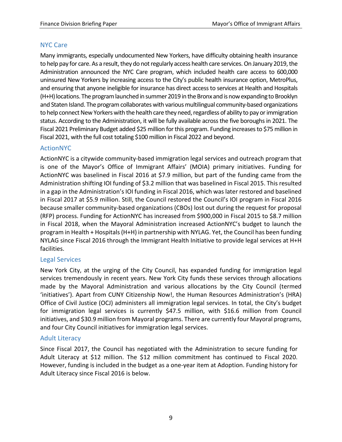#### <span id="page-10-0"></span>NYC Care

Many immigrants, especially undocumented New Yorkers, have difficulty obtaining health insurance to help pay for care. As a result, they do not regularly access health care services. On January 2019, the Administration announced the NYC Care program, which included health care access to 600,000 uninsured New Yorkers by increasing access to the City's public health insurance option, MetroPlus, and ensuring that anyone ineligible for insurance has direct access to services at Health and Hospitals (H+H) locations. The program launched in summer 2019 in the Bronx and is now expanding to Brooklyn and Staten Island. The program collaborates with various multilingual community-based organizations to help connect New Yorkers with the health care they need, regardless of ability to pay or immigration status. According to the Administration, it will be fully available across the five boroughs in 2021. The Fiscal 2021 Preliminary Budget added \$25 million for this program. Funding increases to \$75 million in Fiscal 2021, with the full cost totaling \$100 million in Fiscal 2022 and beyond.

#### <span id="page-10-1"></span>ActionNYC

ActionNYC is a citywide community-based immigration legal services and outreach program that is one of the Mayor's Office of Immigrant Affairs' (MOIA) primary initiatives. Funding for ActionNYC was baselined in Fiscal 2016 at \$7.9 million, but part of the funding came from the Administration shifting IOI funding of \$3.2 million that was baselined in Fiscal 2015. This resulted in a gap in the Administration's IOI funding in Fiscal 2016, which was later restored and baselined in Fiscal 2017 at \$5.9 million. Still, the Council restored the Council's IOI program in Fiscal 2016 because smaller community-based organizations (CBOs) lost out during the request for proposal (RFP) process. Funding for ActionNYC has increased from \$900,000 in Fiscal 2015 to \$8.7 million in Fiscal 2018, when the Mayoral Administration increased ActionNYC's budget to launch the program in Health + Hospitals (H+H) in partnership with NYLAG. Yet, the Council has been funding NYLAG since Fiscal 2016 through the Immigrant Health Initiative to provide legal services at H+H facilities.

#### <span id="page-10-2"></span>Legal Services

New York City, at the urging of the City Council, has expanded funding for immigration legal services tremendously in recent years. New York City funds these services through allocations made by the Mayoral Administration and various allocations by the City Council (termed 'initiatives'). Apart from CUNY Citizenship Now!, the Human Resources Administration's (HRA) Office of Civil Justice (OCJ) administers all immigration legal services. In total, the City's budget for immigration legal services is currently \$47.5 million, with \$16.6 million from Council initiatives, and \$30.9 million from Mayoral programs. There are currently four Mayoral programs, and four City Council initiatives for immigration legal services.

#### <span id="page-10-3"></span>Adult Literacy

Since Fiscal 2017, the Council has negotiated with the Administration to secure funding for Adult Literacy at \$12 million. The \$12 million commitment has continued to Fiscal 2020. However, funding is included in the budget as a one-year item at Adoption. Funding history for Adult Literacy since Fiscal 2016 is below.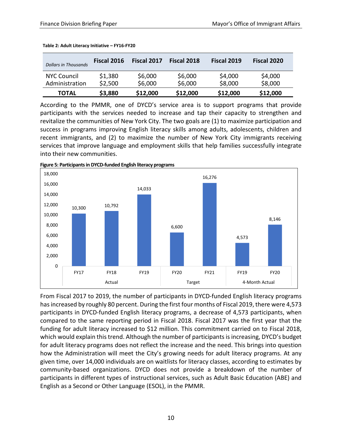| <b>Dollars in Thousands</b>   | Fiscal 2016        | Fiscal 2017        | Fiscal 2018        | Fiscal 2019        | Fiscal 2020        |
|-------------------------------|--------------------|--------------------|--------------------|--------------------|--------------------|
| NYC Council<br>Administration | \$1,380<br>\$2,500 | \$6,000<br>\$6,000 | \$6,000<br>\$6,000 | \$4,000<br>\$8,000 | \$4,000<br>\$8,000 |
| TOTAL                         | \$3,880            | \$12,000           | \$12,000           | \$12,000           | \$12,000           |

#### **Table 2: Adult Literacy Initiative – FY16-FY20**

According to the PMMR, one of DYCD's service area is to support programs that provide participants with the services needed to increase and tap their capacity to strengthen and revitalize the communities of New York City. The two goals are (1) to maximize participation and success in programs improving English literacy skills among adults, adolescents, children and recent immigrants, and (2) to maximize the number of New York City immigrants receiving services that improve language and employment skills that help families successfully integrate into their new communities.



**Figure 5: Participants in DYCD-funded English literacy programs**

From Fiscal 2017 to 2019, the number of participants in DYCD-funded English literacy programs has increased by roughly 80 percent. During the first four months of Fiscal 2019, there were 4,573 participants in DYCD-funded English literacy programs, a decrease of 4,573 participants, when compared to the same reporting period in Fiscal 2018. Fiscal 2017 was the first year that the funding for adult literacy increased to \$12 million. This commitment carried on to Fiscal 2018, which would explain this trend. Although the number of participants is increasing, DYCD's budget for adult literacy programs does not reflect the increase and the need. This brings into question how the Administration will meet the City's growing needs for adult literacy programs. At any given time, over 14,000 individuals are on waitlists for literacy classes, according to estimates by community-based organizations. DYCD does not provide a breakdown of the number of participants in different types of instructional services, such as Adult Basic Education (ABE) and English as a Second or Other Language (ESOL), in the PMMR.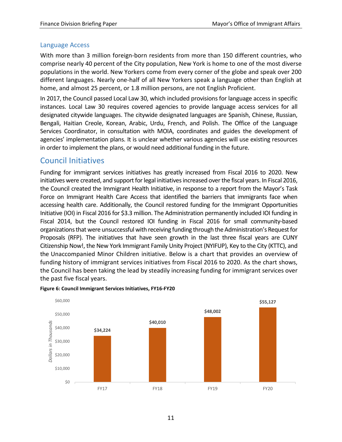#### <span id="page-12-0"></span>Language Access

With more than 3 million foreign-born residents from more than 150 different countries, who comprise nearly 40 percent of the City population, New York is home to one of the most diverse populations in the world. New Yorkers come from every corner of the globe and speak over 200 different languages. Nearly one-half of all New Yorkers speak a language other than English at home, and almost 25 percent, or 1.8 million persons, are not English Proficient.

In 2017, the Council passed Local Law 30, which included provisions for language access in specific instances. Local Law 30 requires covered agencies to provide language access services for all designated citywide languages. The citywide designated languages are Spanish, Chinese, Russian, Bengali, Haitian Creole, Korean, Arabic, Urdu, French, and Polish. The Office of the Language Services Coordinator, in consultation with MOIA, coordinates and guides the development of agencies' implementation plans. It is unclear whether various agencies will use existing resources in order to implement the plans, or would need additional funding in the future.

# <span id="page-12-1"></span>Council Initiatives

Funding for immigrant services initiatives has greatly increased from Fiscal 2016 to 2020. New initiatives were created, and support for legal initiatives increased over the fiscal years. In Fiscal 2016, the Council created the Immigrant Health Initiative, in response to a report from the Mayor's Task Force on Immigrant Health Care Access that identified the barriers that immigrants face when accessing health care. Additionally, the Council restored funding for the Immigrant Opportunities Initiative (IOI) in Fiscal 2016 for \$3.3 million. The Administration permanently included IOI funding in Fiscal 2014, but the Council restored IOI funding in Fiscal 2016 for small community-based organizations that were unsuccessful with receiving funding through the Administration's Request for Proposals (RFP). The initiatives that have seen growth in the last three fiscal years are CUNY Citizenship Now!, the New York Immigrant Family Unity Project (NYIFUP), Key to the City (KTTC), and the Unaccompanied Minor Children initiative. Below is a chart that provides an overview of funding history of immigrant services initiatives from Fiscal 2016 to 2020. As the chart shows, the Council has been taking the lead by steadily increasing funding for immigrant services over the past five fiscal years.



#### **Figure 6: Council Immigrant Services Initiatives, FY16-FY20**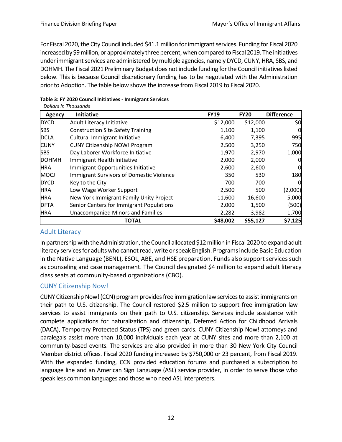For Fiscal 2020, the City Council included \$41.1 million for immigrant services. Funding for Fiscal 2020 increased by \$9 million, or approximately three percent, when compared to Fiscal 2019. The initiatives under immigrant services are administered by multiple agencies, namely DYCD, CUNY, HRA, SBS, and DOHMH. The Fiscal 2021 Preliminary Budget does not include funding for the Council initiatives listed below. This is because Council discretionary funding has to be negotiated with the Administration prior to Adoption. The table below shows the increase from Fiscal 2019 to Fiscal 2020.

|  |  |  | Table 3: FY 2020 Council Initiatives - Immigrant Services |
|--|--|--|-----------------------------------------------------------|
|--|--|--|-----------------------------------------------------------|

| <b>Dollars in Thousands</b> |                                                 |             |             |                   |
|-----------------------------|-------------------------------------------------|-------------|-------------|-------------------|
| Agency                      | Initiative                                      | <b>FY19</b> | <b>FY20</b> | <b>Difference</b> |
| <b>DYCD</b>                 | Adult Literacy Initiative                       | \$12,000    | \$12,000    | \$0               |
| <b>SBS</b>                  | <b>Construction Site Safety Training</b>        | 1,100       | 1,100       | 0                 |
| <b>DCLA</b>                 | Cultural Immigrant Initiative                   | 6,400       | 7,395       | 995               |
| <b>CUNY</b>                 | <b>CUNY Citizenship NOW! Program</b>            | 2,500       | 3,250       | 750               |
| <b>SBS</b>                  | Day Laborer Workforce Initiative                | 1,970       | 2,970       | 1,000             |
| <b>DOHMH</b>                | Immigrant Health Initiative                     | 2,000       | 2,000       |                   |
| <b>HRA</b>                  | Immigrant Opportunities Initiative              | 2,600       | 2,600       | 0                 |
| <b>MOCJ</b>                 | <b>Immigrant Survivors of Domestic Violence</b> | 350         | 530         | 180               |
| <b>DYCD</b>                 | Key to the City                                 | 700         | 700         |                   |
| <b>HRA</b>                  | Low Wage Worker Support                         | 2,500       | 500         | (2,000)           |
| <b>HRA</b>                  | New York Immigrant Family Unity Project         | 11,600      | 16,600      | 5,000             |
| <b>DFTA</b>                 | Senior Centers for Immigrant Populations        | 2,000       | 1,500       | (500)             |
| <b>HRA</b>                  | <b>Unaccompanied Minors and Families</b>        | 2,282       | 3,982       | 1,700             |
|                             | TOTAL                                           | \$48,002    | \$55,127    | \$7,125           |

#### <span id="page-13-0"></span>Adult Literacy

In partnership with the Administration, the Council allocated \$12 million in Fiscal 2020 to expand adult literacy services for adults who cannot read, write or speak English. Programs include Basic Education in the Native Language (BENL), ESOL, ABE, and HSE preparation. Funds also support services such as counseling and case management. The Council designated \$4 million to expand adult literacy class seats at community-based organizations (CBO).

#### <span id="page-13-1"></span>CUNY Citizenship Now!

CUNY Citizenship Now! (CCN) program provides free immigration law services to assist immigrants on their path to U.S. citizenship. The Council restored \$2.5 million to support free immigration law services to assist immigrants on their path to U.S. citizenship. Services include assistance with complete applications for naturalization and citizenship, Deferred Action for Childhood Arrivals (DACA), Temporary Protected Status (TPS) and green cards. CUNY Citizenship Now! attorneys and paralegals assist more than 10,000 individuals each year at CUNY sites and more than 2,100 at community-based events. The services are also provided in more than 30 New York City Council Member district offices. Fiscal 2020 funding increased by \$750,000 or 23 percent, from Fiscal 2019. With the expanded funding, CCN provided education forums and purchased a subscription to language line and an American Sign Language (ASL) service provider, in order to serve those who speak less common languages and those who need ASL interpreters.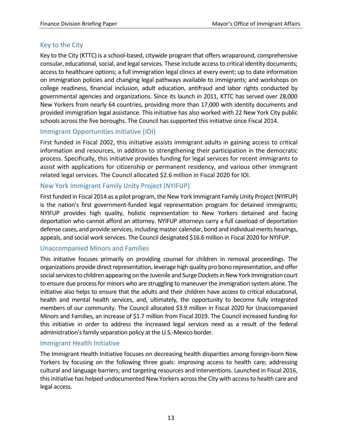#### <span id="page-14-0"></span>Key to the City

Key to the City (KTTC) is a school-based, citywide program that offers wraparound, comprehensive consular, educational, social, and legal services. These include access to critical identity documents; access to healthcare options; a full immigration legal clinics at every event; up to date information on immigration policies and changing legal pathways available to immigrants; and workshops on college readiness, financial inclusion, adult education, antifraud and labor rights conducted by governmental agencies and organizations. Since its launch in 2011, KTTC has served over 28,000 New Yorkers from nearly 64 countries, providing more than 17,000 with identity documents and provided immigration legal assistance. This initiative has also worked with 22 New York City public schools across the five boroughs. The Council has supported this initiative since Fiscal 2014.

#### <span id="page-14-1"></span>Immigrant Opportunities Initiative (IOI)

First funded in Fiscal 2002, this initiative assists immigrant adults in gaining access to critical information and resources, in addition to strengthening their participation in the democratic process. Specifically, this initiative provides funding for legal services for recent immigrants to assist with applications for citizenship or permanent residency, and various other immigrant related legal services. The Council allocated \$2.6 million in Fiscal 2020 for IOI.

#### <span id="page-14-2"></span>New York Immigrant Family Unity Project (NYIFUP)

First funded in Fiscal 2014 as a pilot program, the New York Immigrant Family Unity Project (NYIFUP) is the nation's first government-funded legal representation program for detained immigrants; NYIFUP provides high quality, holistic representation to New Yorkers detained and facing deportation who cannot afford an attorney. NYIFUP attorneys carry a full caseload of deportation defense cases, and provide services, including master calendar, bond and individual merits hearings, appeals, and social work services. The Council designated \$16.6 million in Fiscal 2020 for NYIFUP.

#### <span id="page-14-3"></span>Unaccompanied Minors and Families

This initiative focuses primarily on providing counsel for children in removal proceedings. The organizations provide direct representation, leverage high quality pro bono representation, and offer social services to children appearing on the Juvenile and Surge Dockets in New York Immigration court to ensure due process for minors who are struggling to maneuver the immigration system alone. The initiative also helps to ensure that the adults and their children have access to critical educational, health and mental health services, and, ultimately, the opportunity to become fully integrated members of our community. The Council allocated \$3.9 million in Fiscal 2020 for Unaccompanied Minors and Families, an increase of \$1.7 million from Fiscal 2019. The Council increased funding for this initiative in order to address the increased legal services need as a result of the federal administration's family separation policy at the U.S.-Mexico border.

#### <span id="page-14-4"></span>Immigrant Health Initiative

The Immigrant Health Initiative focuses on decreasing health disparities among foreign-born New Yorkers by focusing on the following three goals: improving access to health care; addressing cultural and language barriers; and targeting resources and interventions. Launched in Fiscal 2016, this initiative has helped undocumented New Yorkers across the City with access to health care and legal access.